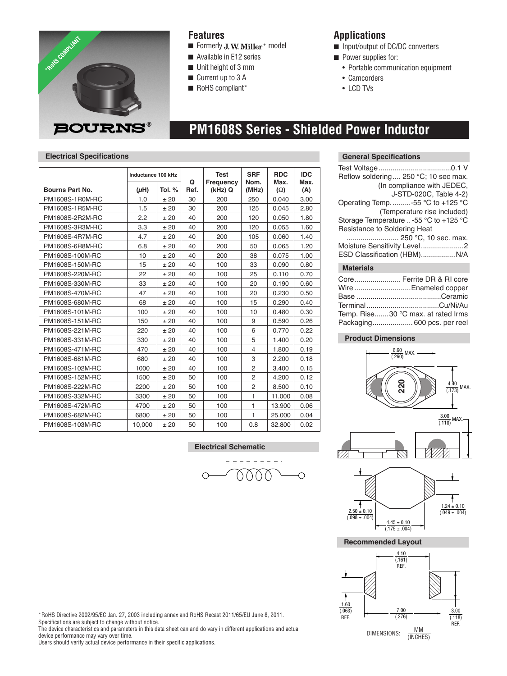

### **Features**

- Formerly J.W. Miller<sup>®</sup> model
- Available in E12 series
- $\blacksquare$  Unit height of 3 mm
- Current up to 3 A
- RoHS compliant\*

### **Applications**

- Input/output of DC/DC converters
- **n** Power supplies for:
	- Portable communication equipment
	- Camcorders
	- LCD TVs

## **PM1608S Series - Shielded Power Inductor**

#### **Electrical Specifications**

|                 | Inductance 100 kHz |        | Q    | <b>Test</b>          | <b>SRF</b><br>Nom. | <b>RDC</b><br>Max. | <b>IDC</b><br>Max. |
|-----------------|--------------------|--------|------|----------------------|--------------------|--------------------|--------------------|
| Bourns Part No. | $(\mu H)$          | Tol. % | Ref. | Frequency<br>(kHz) Q | (MHz)              | $(\Omega)$         | (A)                |
| PM1608S-1R0M-RC | 1.0                | ±20    | 30   | 200                  | 250                | 0.040              | 3.00               |
| PM1608S-1R5M-RC | 1.5                | ±20    | 30   | 200                  | 125                | 0.045              | 2.80               |
| PM1608S-2R2M-RC | 2.2                | ±20    | 40   | 200                  | 120                | 0.050              | 1.80               |
| PM1608S-3R3M-RC | 3.3                | ±20    | 40   | 200                  | 120                | 0.055              | 1.60               |
| PM1608S-4R7M-RC | 4.7                | ±20    | 40   | 200                  | 105                | 0.060              | 1.40               |
| PM1608S-6R8M-RC | 6.8                | ±20    | 40   | 200                  | 50                 | 0.065              | 1.20               |
| PM1608S-100M-RC | 10                 | ±20    | 40   | 200                  | 38                 | 0.075              | 1.00               |
| PM1608S-150M-RC | 15                 | ±20    | 40   | 100                  | 33                 | 0.090              | 0.80               |
| PM1608S-220M-RC | 22                 | ±20    | 40   | 100                  | 25                 | 0.110              | 0.70               |
| PM1608S-330M-RC | 33                 | ± 20   | 40   | 100                  | 20                 | 0.190              | 0.60               |
| PM1608S-470M-RC | 47                 | ±20    | 40   | 100                  | 20                 | 0.230              | 0.50               |
| PM1608S-680M-RC | 68                 | ±20    | 40   | 100                  | 15                 | 0.290              | 0.40               |
| PM1608S-101M-RC | 100                | ±20    | 40   | 100                  | 10                 | 0.480              | 0.30               |
| PM1608S-151M-RC | 150                | ±20    | 40   | 100                  | 9                  | 0.590              | 0.26               |
| PM1608S-221M-RC | 220                | ±20    | 40   | 100                  | 6                  | 0.770              | 0.22               |
| PM1608S-331M-RC | 330                | ± 20   | 40   | 100                  | 5                  | 1.400              | 0.20               |
| PM1608S-471M-RC | 470                | ±20    | 40   | 100                  | $\overline{4}$     | 1.800              | 0.19               |
| PM1608S-681M-RC | 680                | ±20    | 40   | 100                  | 3                  | 2.200              | 0.18               |
| PM1608S-102M-RC | 1000               | ±20    | 40   | 100                  | $\overline{2}$     | 3.400              | 0.15               |
| PM1608S-152M-RC | 1500               | ±20    | 50   | 100                  | $\overline{2}$     | 4.200              | 0.12               |
| PM1608S-222M-RC | 2200               | ±20    | 50   | 100                  | $\overline{2}$     | 8.500              | 0.10               |
| PM1608S-332M-RC | 3300               | ±20    | 50   | 100                  | 1                  | 11.000             | 0.08               |
| PM1608S-472M-RC | 4700               | ±20    | 50   | 100                  | $\mathbf{1}$       | 13.900             | 0.06               |
| PM1608S-682M-RC | 6800               | ± 20   | 50   | 100                  | $\mathbf{1}$       | 25.000             | 0.04               |
| PM1608S-103M-RC | 10,000             | ±20    | 50   | 100                  | 0.8                | 32.800             | 0.02               |

**Electrical Schematic**

 $\circ$ 

eessesse: 0000

 $\overline{\bigcirc}$ 

#### **General Specifications**

| Reflow soldering 250 °C; 10 sec max.   |
|----------------------------------------|
| (In compliance with JEDEC,             |
| J-STD-020C, Table 4-2)                 |
| Operating Temp. -55 °C to +125 °C      |
| (Temperature rise included)            |
| Storage Temperature  -55 °C to +125 °C |
| Resistance to Soldering Heat           |
| 250 °C, 10 sec. max.                   |
| Moisture Sensitivity Level2            |
| ESD Classification (HBM) N/A           |
| <b>Materials</b>                       |

| Core Ferrite DR & RI core          |
|------------------------------------|
| Wire Enameled copper               |
|                                    |
|                                    |
| Temp. Rise30 °C max. at rated Irms |
| Packaging 600 pcs. per reel        |
|                                    |

#### **Product Dimensions**





\*RoHS Directive 2002/95/EC Jan. 27, 2003 including annex and RoHS Recast 2011/65/EU June 8, 2011. Specifications are subject to change without notice.

The device characteristics and parameters in this data sheet can and do vary in different applications and actual device performance may vary over time.

Users should verify actual device performance in their specific applications.